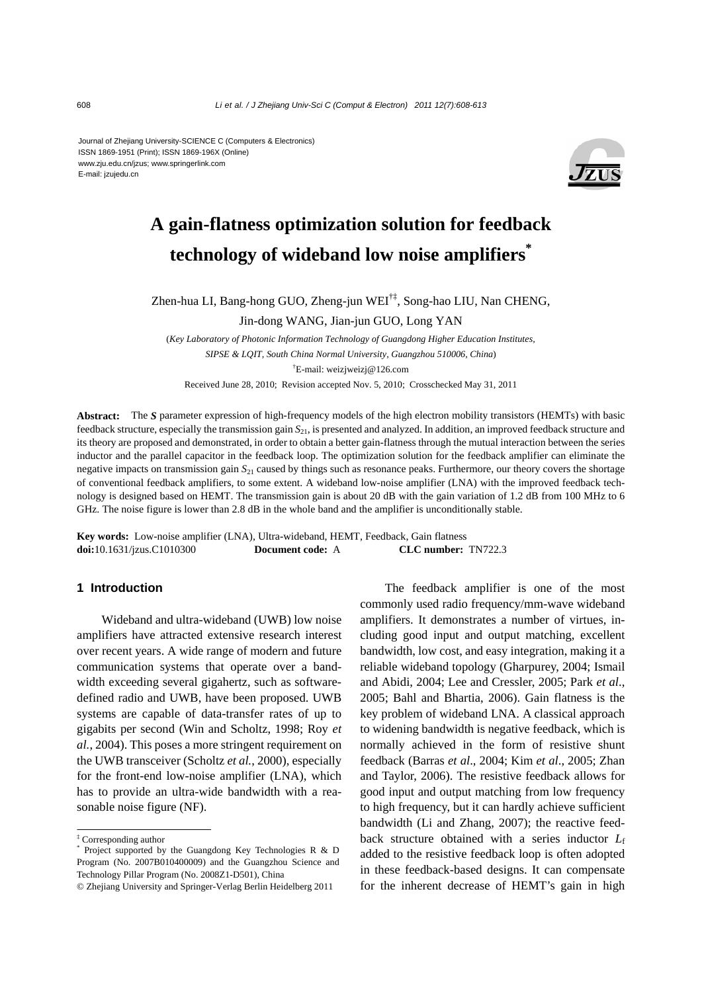Journal of Zhejiang University-SCIENCE C (Computers & Electronics) ISSN 1869-1951 (Print); ISSN 1869-196X (Online) www.zju.edu.cn/jzus; www.springerlink.com E-mail: jzujedu.cn



# **A gain-flatness optimization solution for feedback technology of wideband low noise amplifiers\***

Zhen-hua LI, Bang-hong GUO, Zheng-jun WEI†‡, Song-hao LIU, Nan CHENG,

Jin-dong WANG, Jian-jun GUO, Long YAN

(*Key Laboratory of Photonic Information Technology of Guangdong Higher Education Institutes, SIPSE & LQIT, South China Normal University, Guangzhou 510006, China*) † E-mail: weizjweizj@126.com Received June 28, 2010; Revision accepted Nov. 5, 2010; Crosschecked May 31, 2011

**Abstract:** The *S* parameter expression of high-frequency models of the high electron mobility transistors (HEMTs) with basic feedback structure, especially the transmission gain *S*21, is presented and analyzed. In addition, an improved feedback structure and its theory are proposed and demonstrated, in order to obtain a better gain-flatness through the mutual interaction between the series inductor and the parallel capacitor in the feedback loop. The optimization solution for the feedback amplifier can eliminate the negative impacts on transmission gain *S*21 caused by things such as resonance peaks. Furthermore, our theory covers the shortage of conventional feedback amplifiers, to some extent. A wideband low-noise amplifier (LNA) with the improved feedback technology is designed based on HEMT. The transmission gain is about 20 dB with the gain variation of 1.2 dB from 100 MHz to 6 GHz. The noise figure is lower than 2.8 dB in the whole band and the amplifier is unconditionally stable.

**Key words:** Low-noise amplifier (LNA), Ultra-wideband, HEMT, Feedback, Gain flatness **doi:**10.1631/jzus.C1010300 **Document code:** A **CLC number:** TN722.3

## **1 Introduction**

Wideband and ultra-wideband (UWB) low noise amplifiers have attracted extensive research interest over recent years. A wide range of modern and future communication systems that operate over a bandwidth exceeding several gigahertz, such as softwaredefined radio and UWB, have been proposed. UWB systems are capable of data-transfer rates of up to gigabits per second (Win and Scholtz, 1998; Roy *et al.*, 2004). This poses a more stringent requirement on the UWB transceiver (Scholtz *et al.*, 2000), especially for the front-end low-noise amplifier (LNA), which has to provide an ultra-wide bandwidth with a reasonable noise figure (NF).

The feedback amplifier is one of the most commonly used radio frequency/mm-wave wideband amplifiers. It demonstrates a number of virtues, including good input and output matching, excellent bandwidth, low cost, and easy integration, making it a reliable wideband topology (Gharpurey, 2004; Ismail and Abidi, 2004; Lee and Cressler, 2005; Park *et al*., 2005; Bahl and Bhartia, 2006). Gain flatness is the key problem of wideband LNA. A classical approach to widening bandwidth is negative feedback, which is normally achieved in the form of resistive shunt feedback (Barras *et al*., 2004; Kim *et al*., 2005; Zhan and Taylor, 2006). The resistive feedback allows for good input and output matching from low frequency to high frequency, but it can hardly achieve sufficient bandwidth (Li and Zhang, 2007); the reactive feedback structure obtained with a series inductor *L*<sup>f</sup> added to the resistive feedback loop is often adopted in these feedback-based designs. It can compensate for the inherent decrease of HEMT's gain in high

<sup>‡</sup> Corresponding author

<sup>\*</sup> Project supported by the Guangdong Key Technologies R & D Program (No. 2007B010400009) and the Guangzhou Science and Technology Pillar Program (No. 2008Z1-D501), China

<sup>©</sup> Zheijang University and Springer-Verlag Berlin Heidelberg 2011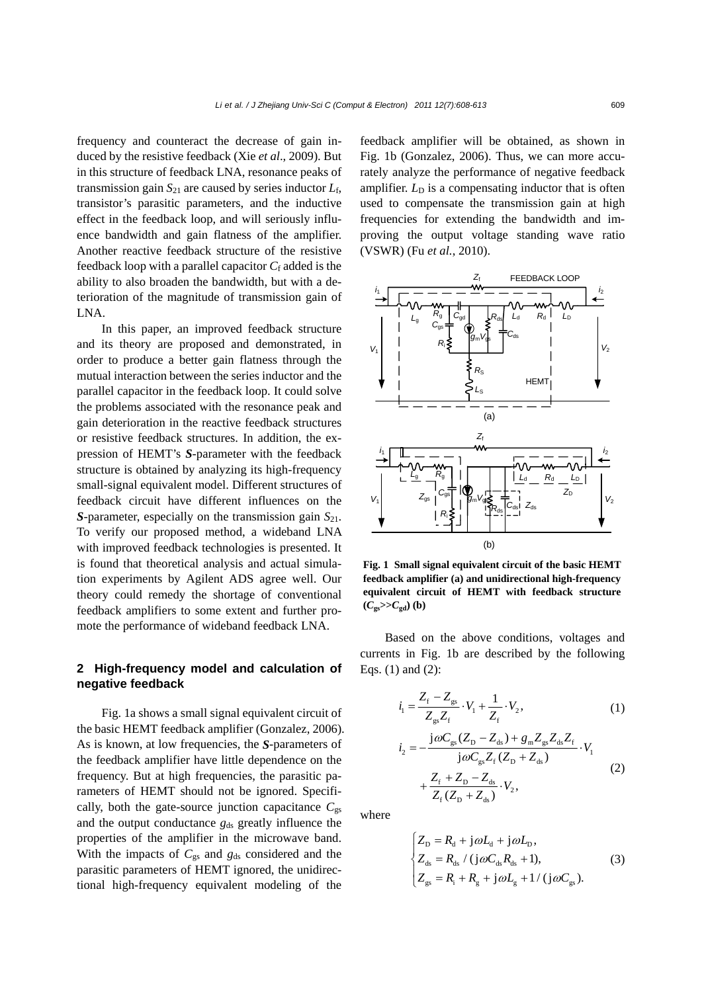frequency and counteract the decrease of gain induced by the resistive feedback (Xie *et al*., 2009). But in this structure of feedback LNA, resonance peaks of transmission gain  $S_{21}$  are caused by series inductor  $L_f$ , transistor's parasitic parameters, and the inductive effect in the feedback loop, and will seriously influence bandwidth and gain flatness of the amplifier. Another reactive feedback structure of the resistive feedback loop with a parallel capacitor  $C_f$  added is the ability to also broaden the bandwidth, but with a deterioration of the magnitude of transmission gain of LNA.

In this paper, an improved feedback structure and its theory are proposed and demonstrated, in order to produce a better gain flatness through the mutual interaction between the series inductor and the parallel capacitor in the feedback loop. It could solve the problems associated with the resonance peak and gain deterioration in the reactive feedback structures or resistive feedback structures. In addition, the expression of HEMT's *S*-parameter with the feedback structure is obtained by analyzing its high-frequency small-signal equivalent model. Different structures of feedback circuit have different influences on the *S*-parameter, especially on the transmission gain  $S_{21}$ . To verify our proposed method, a wideband LNA with improved feedback technologies is presented. It is found that theoretical analysis and actual simulation experiments by Agilent ADS agree well. Our theory could remedy the shortage of conventional feedback amplifiers to some extent and further promote the performance of wideband feedback LNA.

## **2 High-frequency model and calculation of negative feedback**

Fig. 1a shows a small signal equivalent circuit of the basic HEMT feedback amplifier (Gonzalez, 2006). As is known, at low frequencies, the *S*-parameters of the feedback amplifier have little dependence on the frequency. But at high frequencies, the parasitic parameters of HEMT should not be ignored. Specifically, both the gate-source junction capacitance  $C_{gs}$ and the output conductance  $g_{ds}$  greatly influence the properties of the amplifier in the microwave band. With the impacts of  $C_{gs}$  and  $g_{ds}$  considered and the parasitic parameters of HEMT ignored, the unidirectional high-frequency equivalent modeling of the

feedback amplifier will be obtained, as shown in Fig. 1b (Gonzalez, 2006). Thus, we can more accurately analyze the performance of negative feedback amplifier.  $L<sub>D</sub>$  is a compensating inductor that is often used to compensate the transmission gain at high frequencies for extending the bandwidth and improving the output voltage standing wave ratio (VSWR) (Fu *et al.*, 2010).



**Fig. 1 Small signal equivalent circuit of the basic HEMT feedback amplifier (a) and unidirectional high-frequency equivalent circuit of HEMT with feedback structure**   $(C_{gs}>>C_{gd})$  (b)

Based on the above conditions, voltages and currents in Fig. 1b are described by the following Eqs. (1) and (2):

$$
\dot{i}_1 = \frac{Z_f - Z_{gs}}{Z_{gs} Z_f} \cdot V_1 + \frac{1}{Z_f} \cdot V_2, \qquad (1)
$$

$$
i_2 = -\frac{j\omega C_{gs}(Z_D - Z_{ds}) + g_m Z_{gs} Z_{ds} Z_f}{j\omega C_{gs} Z_f (Z_D + Z_{ds})} \cdot V_1 + \frac{Z_f + Z_D - Z_{ds}}{Z_f (Z_D + Z_{ds})} \cdot V_2,
$$
\n(2)

where

$$
\begin{cases}\nZ_{\rm D} = R_{\rm d} + {\rm j}\omega L_{\rm d} + {\rm j}\omega L_{\rm D}, \\
Z_{\rm ds} = R_{\rm ds} / ({\rm j}\omega C_{\rm ds} R_{\rm ds} + 1), \\
Z_{\rm gs} = R_{\rm i} + R_{\rm g} + {\rm j}\omega L_{\rm g} + 1 / ({\rm j}\omega C_{\rm gs}).\n\end{cases} (3)
$$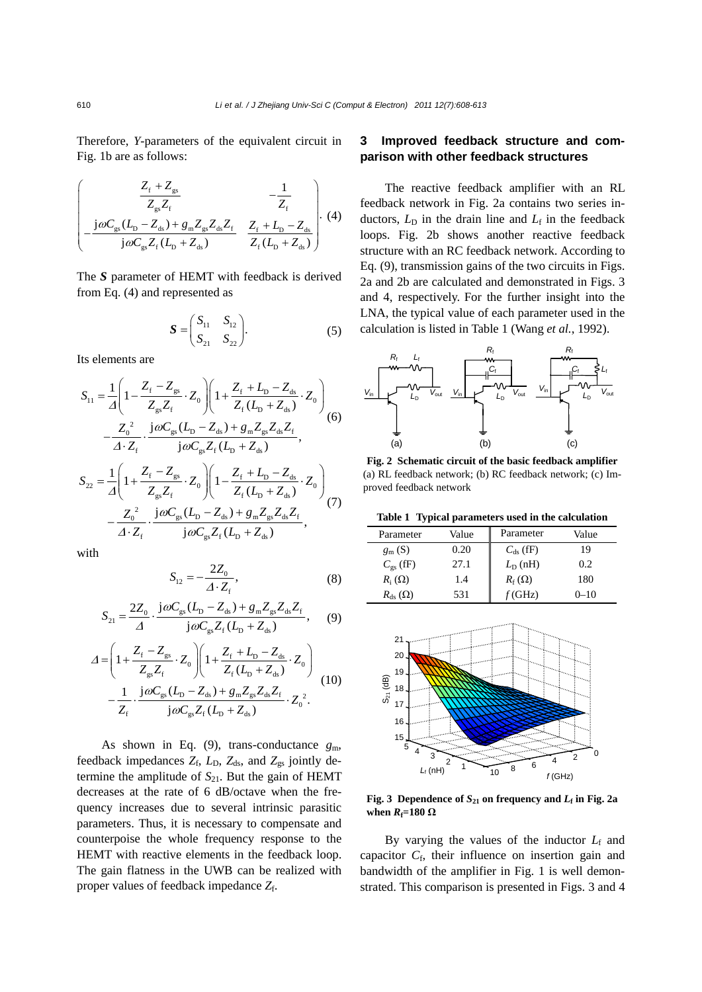Therefore, *Y*-parameters of the equivalent circuit in Fig. 1b are as follows:

$$
\left(\begin{array}{cc}\n\frac{Z_{\rm f} + Z_{\rm gs}}{Z_{\rm gs} Z_{\rm f}} & -\frac{1}{Z_{\rm f}} \\
-\frac{\rm j\omega C_{\rm gs} (L_{\rm D} - Z_{\rm ds}) + g_{\rm m} Z_{\rm gs} Z_{\rm ds} Z_{\rm f}}{\rm j\omega C_{\rm gs} Z_{\rm f} (L_{\rm D} + Z_{\rm ds})} & \frac{Z_{\rm f} + L_{\rm D} - Z_{\rm ds}}{Z_{\rm f} (L_{\rm D} + Z_{\rm ds})}\n\end{array}\right) \tag{4}
$$

The *S* parameter of HEMT with feedback is derived from Eq. (4) and represented as

$$
S = \begin{pmatrix} S_{11} & S_{12} \\ S_{21} & S_{22} \end{pmatrix}.
$$
 (5)

Its elements are

$$
S_{11} = \frac{1}{\Delta} \left( 1 - \frac{Z_{\rm f} - Z_{\rm gs}}{Z_{\rm gs} Z_{\rm f}} \cdot Z_0 \right) \left( 1 + \frac{Z_{\rm f} + L_{\rm b} - Z_{\rm ds}}{Z_{\rm f} (L_{\rm p} + Z_{\rm ds})} \cdot Z_0 \right) - \frac{Z_0^2}{\Delta \cdot Z_{\rm f}} \cdot \frac{\rm j\omega C_{\rm gs} (L_{\rm b} - Z_{\rm ds}) + g_{\rm m} Z_{\rm gs} Z_{\rm ds} Z_{\rm f}}{\rm j\omega C_{\rm gs} Z_{\rm f} (L_{\rm b} + Z_{\rm ds})},
$$
\n
$$
S_{22} = \frac{1}{\Delta} \left( 1 + \frac{Z_{\rm f} - Z_{\rm gs}}{Z_{\rm gs} Z_{\rm f}} \cdot Z_0 \right) \left( 1 - \frac{Z_{\rm f} + L_{\rm b} - Z_{\rm ds}}{Z_{\rm f} (L_{\rm b} + Z_{\rm ds})} \cdot Z_0 \right) - \frac{Z_0^2}{\Delta \cdot Z_{\rm f}} \cdot \frac{\rm j\omega C_{\rm gs} (L_{\rm b} - Z_{\rm ds}) + g_{\rm m} Z_{\rm gs} Z_{\rm ds} Z_{\rm f}}{\rm j\omega C_{\rm gs} Z_{\rm f} (L_{\rm b} + Z_{\rm ds})},
$$
\n(7)

with

$$
S_{12} = -\frac{2Z_0}{\Delta \cdot Z_f},\tag{8}
$$

$$
S_{21} = \frac{2Z_0}{\Delta} \cdot \frac{j\omega C_{gs}(L_D - Z_{ds}) + g_m Z_{gs} Z_{ds} Z_f}{j\omega C_{gs} Z_f (L_D + Z_{ds})},
$$
 (9)

$$
\Delta = \left(1 + \frac{Z_{\rm f} - Z_{\rm gs}}{Z_{\rm gs} Z_{\rm f}} \cdot Z_0\right) \left(1 + \frac{Z_{\rm f} + L_{\rm D} - Z_{\rm ds}}{Z_{\rm f} (L_{\rm D} + Z_{\rm ds})} \cdot Z_0\right) \left.\begin{aligned}\n- \frac{1}{Z_{\rm f}} \cdot \frac{\rm j \omega C_{\rm gs} (L_{\rm D} - Z_{\rm ds}) + g_{\rm m} Z_{\rm gs} Z_{\rm ds} Z_{\rm f}}{\rm j \omega C_{\rm gs} Z_{\rm f} (L_{\rm D} + Z_{\rm ds})} \cdot Z_0^2.\n\end{aligned}\right\} (10)
$$

As shown in Eq.  $(9)$ , trans-conductance  $g_m$ , feedback impedances  $Z_f$ ,  $L_D$ ,  $Z_{ds}$ , and  $Z_{gs}$  jointly determine the amplitude of  $S_{21}$ . But the gain of HEMT decreases at the rate of 6 dB/octave when the frequency increases due to several intrinsic parasitic parameters. Thus, it is necessary to compensate and counterpoise the whole frequency response to the HEMT with reactive elements in the feedback loop. The gain flatness in the UWB can be realized with proper values of feedback impedance  $Z_f$ .

# **3 Improved feedback structure and comparison with other feedback structures**

The reactive feedback amplifier with an RL feedback network in Fig. 2a contains two series inductors,  $L<sub>D</sub>$  in the drain line and  $L<sub>f</sub>$  in the feedback loops. Fig. 2b shows another reactive feedback structure with an RC feedback network. According to Eq. (9), transmission gains of the two circuits in Figs. 2a and 2b are calculated and demonstrated in Figs. 3 and 4, respectively. For the further insight into the LNA, the typical value of each parameter used in the calculation is listed in Table 1 (Wang *et al.*, 1992).



**Fig. 2 Schematic circuit of the basic feedback amplifier** (a) RL feedback network; (b) RC feedback network; (c) Improved feedback network

**Table 1 Typical parameters used in the calculation** 

| Parameter         | Value | Parameter           | Value    |
|-------------------|-------|---------------------|----------|
| $g_{\rm m}$ (S)   | 0.20  | $C_{ds}$ (fF)       | 19       |
| $C_{\rm gs}$ (fF) | 27.1  | $L_{\text{D}}$ (nH) | 0.2      |
| $R_i(\Omega)$     | 1.4   | $R_f(\Omega)$       | 180      |
| $R_{ds}(\Omega)$  | 531   | (GHz)               | $0 - 10$ |



**Fig. 3** Dependence of  $S_{21}$  on frequency and  $L_f$  in Fig. 2a **when**  $R$ <sup> $f=180$ </sup> Ω

By varying the values of the inductor  $L_f$  and capacitor C<sub>f</sub>, their influence on insertion gain and bandwidth of the amplifier in Fig. 1 is well demonstrated. This comparison is presented in Figs. 3 and 4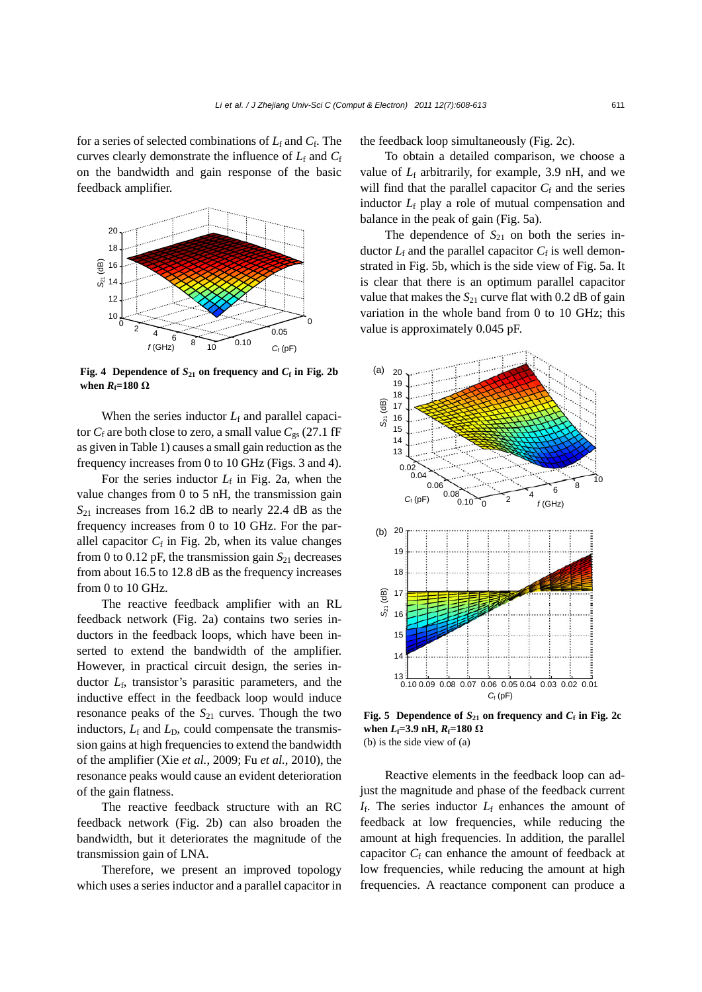for a series of selected combinations of *L*f and *C*f. The curves clearly demonstrate the influence of  $L_f$  and  $C_f$ on the bandwidth and gain response of the basic feedback amplifier.



**Fig. 4** Dependence of  $S_{21}$  on frequency and  $C_f$  in Fig. 2b **when**  $R_f=180 \Omega$ 

When the series inductor  $L_f$  and parallel capacitor  $C_f$  are both close to zero, a small value  $C_{gs}$  (27.1 fF as given in Table 1) causes a small gain reduction as the frequency increases from 0 to 10 GHz (Figs. 3 and 4).

For the series inductor  $L_f$  in Fig. 2a, when the value changes from 0 to 5 nH, the transmission gain  $S_{21}$  increases from 16.2 dB to nearly 22.4 dB as the frequency increases from 0 to 10 GHz. For the parallel capacitor  $C_f$  in Fig. 2b, when its value changes from 0 to 0.12 pF, the transmission gain  $S_{21}$  decreases from about 16.5 to 12.8 dB as the frequency increases from 0 to 10 GHz.

The reactive feedback amplifier with an RL feedback network (Fig. 2a) contains two series inductors in the feedback loops, which have been inserted to extend the bandwidth of the amplifier. However, in practical circuit design, the series inductor *L*f, transistor's parasitic parameters, and the inductive effect in the feedback loop would induce resonance peaks of the  $S_{21}$  curves. Though the two inductors,  $L_f$  and  $L_D$ , could compensate the transmission gains at high frequencies to extend the bandwidth of the amplifier (Xie *et al.*, 2009; Fu *et al.*, 2010), the resonance peaks would cause an evident deterioration of the gain flatness.

The reactive feedback structure with an RC feedback network (Fig. 2b) can also broaden the bandwidth, but it deteriorates the magnitude of the transmission gain of LNA.

Therefore, we present an improved topology which uses a series inductor and a parallel capacitor in the feedback loop simultaneously (Fig. 2c).

To obtain a detailed comparison, we choose a value of  $L_f$  arbitrarily, for example, 3.9 nH, and we will find that the parallel capacitor  $C_f$  and the series inductor  $L_f$  play a role of mutual compensation and balance in the peak of gain (Fig. 5a).

The dependence of  $S_{21}$  on both the series inductor  $L_f$  and the parallel capacitor  $C_f$  is well demonstrated in Fig. 5b, which is the side view of Fig. 5a. It is clear that there is an optimum parallel capacitor value that makes the  $S_{21}$  curve flat with 0.2 dB of gain variation in the whole band from 0 to 10 GHz; this value is approximately 0.045 pF.



**Fig. 5** Dependence of  $S_{21}$  on frequency and  $C_f$  in Fig. 2c **when**  $L_f$ =3.9 **nH**,  $R_f$ =180 Ω (b) is the side view of (a)

Reactive elements in the feedback loop can adjust the magnitude and phase of the feedback current  $I_f$ . The series inductor  $L_f$  enhances the amount of feedback at low frequencies, while reducing the amount at high frequencies. In addition, the parallel capacitor  $C_f$  can enhance the amount of feedback at low frequencies, while reducing the amount at high frequencies. A reactance component can produce a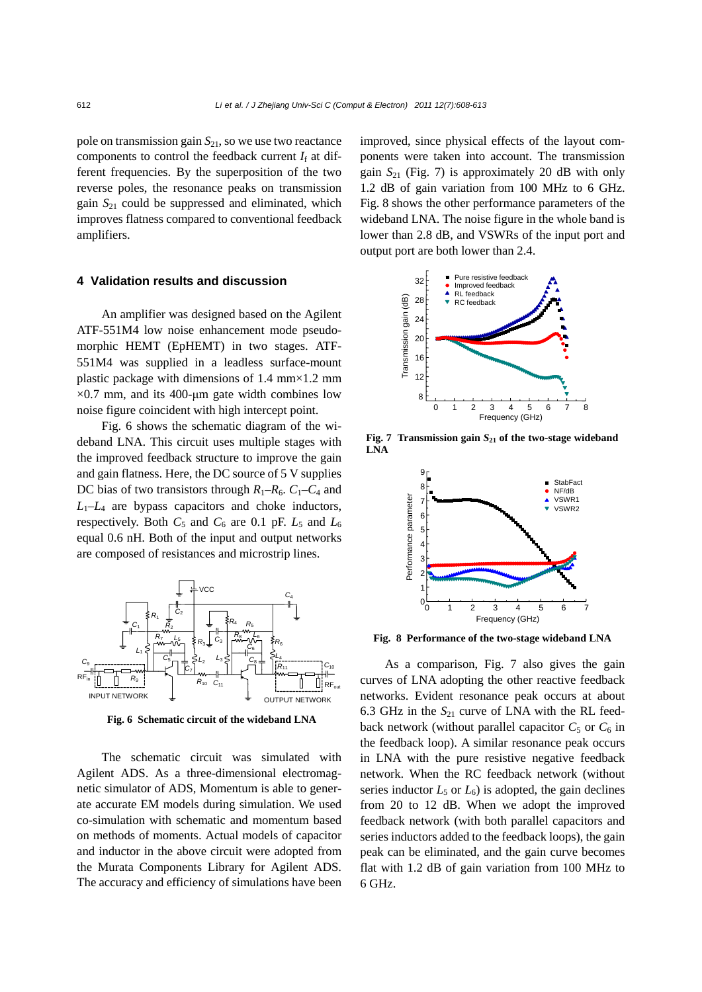pole on transmission gain  $S_{21}$ , so we use two reactance components to control the feedback current  $I_f$  at different frequencies. By the superposition of the two reverse poles, the resonance peaks on transmission gain  $S_{21}$  could be suppressed and eliminated, which improves flatness compared to conventional feedback amplifiers.

### **4 Validation results and discussion**

An amplifier was designed based on the Agilent ATF-551M4 low noise enhancement mode pseudomorphic HEMT (EpHEMT) in two stages. ATF-551M4 was supplied in a leadless surface-mount plastic package with dimensions of 1.4 mm×1.2 mm  $\times$ 0.7 mm, and its 400-um gate width combines low noise figure coincident with high intercept point.

Fig. 6 shows the schematic diagram of the wideband LNA. This circuit uses multiple stages with the improved feedback structure to improve the gain and gain flatness. Here, the DC source of 5 V supplies DC bias of two transistors through  $R_1-R_6$ .  $C_1-C_4$  and  $L_1$ – $L_4$  are bypass capacitors and choke inductors, respectively. Both  $C_5$  and  $C_6$  are 0.1 pF.  $L_5$  and  $L_6$ equal 0.6 nH. Both of the input and output networks are composed of resistances and microstrip lines.



**Fig. 6 Schematic circuit of the wideband LNA**

The schematic circuit was simulated with Agilent ADS. As a three-dimensional electromagnetic simulator of ADS, Momentum is able to generate accurate EM models during simulation. We used co-simulation with schematic and momentum based on methods of moments. Actual models of capacitor and inductor in the above circuit were adopted from the Murata Components Library for Agilent ADS. The accuracy and efficiency of simulations have been

improved, since physical effects of the layout components were taken into account. The transmission gain  $S_{21}$  (Fig. 7) is approximately 20 dB with only 1.2 dB of gain variation from 100 MHz to 6 GHz. Fig. 8 shows the other performance parameters of the wideband LNA. The noise figure in the whole band is lower than 2.8 dB, and VSWRs of the input port and output port are both lower than 2.4.



**Fig. 7 Transmission gain** *S***21 of the two-stage wideband LNA**



**Fig. 8 Performance of the two-stage wideband LNA**

As a comparison, Fig. 7 also gives the gain curves of LNA adopting the other reactive feedback networks. Evident resonance peak occurs at about 6.3 GHz in the  $S_{21}$  curve of LNA with the RL feedback network (without parallel capacitor  $C_5$  or  $C_6$  in the feedback loop). A similar resonance peak occurs in LNA with the pure resistive negative feedback network. When the RC feedback network (without series inductor  $L_5$  or  $L_6$ ) is adopted, the gain declines from 20 to 12 dB. When we adopt the improved feedback network (with both parallel capacitors and series inductors added to the feedback loops), the gain peak can be eliminated, and the gain curve becomes flat with 1.2 dB of gain variation from 100 MHz to 6 GHz.